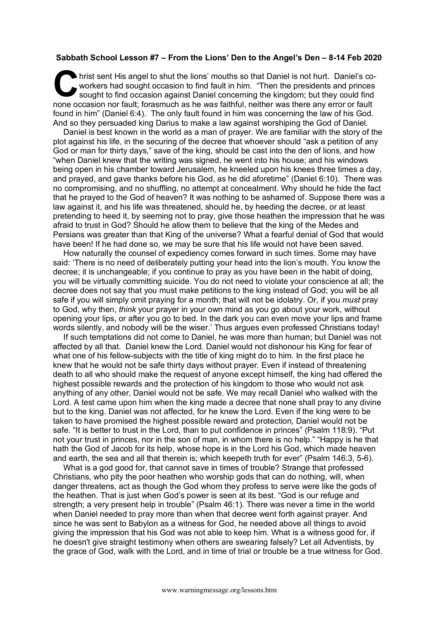## **Sabbath School Lesson #7 – From the Lions' Den to the Angel's Den – 8-14 Feb 2020**

hrist sent His angel to shut the lions' mouths so that Daniel is not hurt. Daniel's coworkers had sought occasion to find fault in him. "Then the presidents and princes sought to find occasion against Daniel concerning the kingdom; but they could find none occasion nor fault; forasmuch as he *was* faithful, neither was there any error or fault found in him" (Daniel 6:4). The only fault found in him was concerning the law of his God. And so they persuaded king Darius to make a law against worshiping the God of Daniel. C hris

Daniel is best known in the world as a man of prayer. We are familiar with the story of the plot against his life, in the securing of the decree that whoever should "ask a petition of any God or man for thirty days," save of the king, should be cast into the den of lions, and how "when Daniel knew that the writing was signed, he went into his house; and his windows being open in his chamber toward Jerusalem, he kneeled upon his knees three times a day, and prayed, and gave thanks before his God, as he did aforetime" (Daniel 6:10). There was no compromising, and no shuffling, no attempt at concealment. Why should he hide the fact that he prayed to the God of heaven? It was nothing to be ashamed of. Suppose there was a law against it, and his life was threatened, should he, by heeding the decree, or at least pretending to heed it, by seeming not to pray, give those heathen the impression that he was afraid to trust in God? Should he allow them to believe that the king of the Medes and Persians was greater than that King of the universe? What a fearful denial of God that would have been! If he had done so, we may be sure that his life would not have been saved.

How naturally the counsel of expediency comes forward in such times. Some may have said: 'There is no need of deliberately putting your head into the lion's mouth. You know the decree; it is unchangeable; if you continue to pray as you have been in the habit of doing, you will be virtually committing suicide. You do not need to violate your conscience at all; the decree does not say that you must make petitions to the king instead of God; you will be all safe if you will simply omit praying for a month; that will not be idolatry. Or, if you *must* pray to God, why then, *think* your prayer in your own mind as you go about your work, without opening your lips, or after you go to bed. In the dark you can even move your lips and frame words silently, and nobody will be the wiser.' Thus argues even professed Christians today!

If such temptations did not come to Daniel, he was more than human; but Daniel was not affected by all that. Daniel knew the Lord. Daniel would not dishonour his King for fear of what one of his fellow-subjects with the title of king might do to him. In the first place he knew that he would not be safe thirty days without prayer. Even if instead of threatening death to all who should make the request of anyone except himself, the king had offered the highest possible rewards and the protection of his kingdom to those who would not ask anything of any other, Daniel would not be safe. We may recall Daniel who walked with the Lord. A test came upon him when the king made a decree that none shall pray to any divine but to the king. Daniel was not affected, for he knew the Lord. Even if the king were to be taken to have promised the highest possible reward and protection, Daniel would not be safe. "It is better to trust in the Lord, than to put confidence in princes" (Psalm 118:9). "Put not your trust in princes, nor in the son of man, in whom there is no help." "Happy is he that hath the God of Jacob for its help, whose hope is in the Lord his God, which made heaven and earth, the sea and all that therein is; which keepeth truth for ever" (Psalm 146:3, 5-6).

What is a god good for, that cannot save in times of trouble? Strange that professed Christians, who pity the poor heathen who worship gods that can do nothing, will, when danger threatens, act as though the God whom they profess to serve were like the gods of the heathen. That is just when God's power is seen at its best. "God is our refuge and strength; a very present help in trouble" (Psalm 46:1). There was never a time in the world when Daniel needed to pray more than when that decree went forth against prayer. And since he was sent to Babylon as a witness for God, he needed above all things to avoid giving the impression that his God was not able to keep him. What is a witness good for, if he doesn't give straight testimony when others are swearing falsely? Let all Adventists, by the grace of God, walk with the Lord, and in time of trial or trouble be a true witness for God.